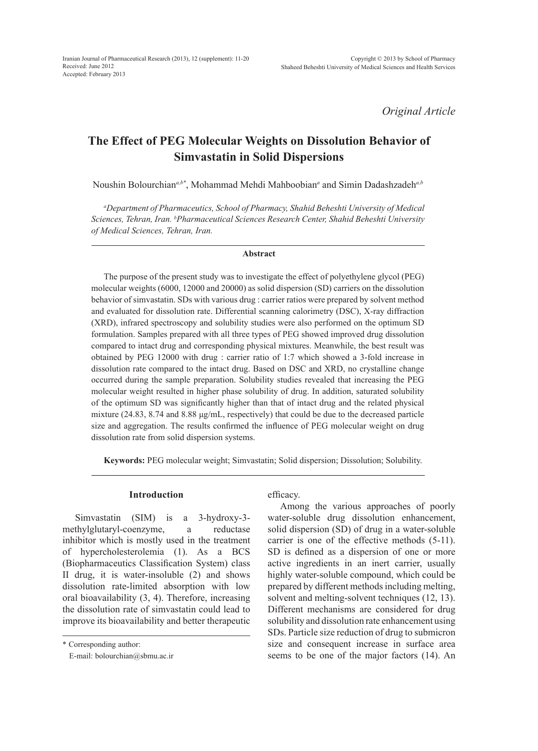*Original Article*

# **The Effect of PEG Molecular Weights on Dissolution Behavior of Simvastatin in Solid Dispersions**

Noushin Bolourchian*a,b\**, Mohammad Mehdi Mahboobian*<sup>a</sup>* and Simin Dadashzadeh*a,b*

*a Department of Pharmaceutics, School of Pharmacy, Shahid Beheshti University of Medical Sciences, Tehran, Iran. b Pharmaceutical Sciences Research Center, Shahid Beheshti University of Medical Sciences, Tehran, Iran.*

#### **Abstract**

The purpose of the present study was to investigate the effect of polyethylene glycol (PEG) molecular weights (6000, 12000 and 20000) as solid dispersion (SD) carriers on the dissolution behavior of simvastatin. SDs with various drug : carrier ratios were prepared by solvent method and evaluated for dissolution rate. Differential scanning calorimetry (DSC), X-ray diffraction (XRD), infrared spectroscopy and solubility studies were also performed on the optimum SD formulation. Samples prepared with all three types of PEG showed improved drug dissolution compared to intact drug and corresponding physical mixtures. Meanwhile, the best result was obtained by PEG 12000 with drug : carrier ratio of 1:7 which showed a 3-fold increase in dissolution rate compared to the intact drug. Based on DSC and XRD, no crystalline change occurred during the sample preparation. Solubility studies revealed that increasing the PEG molecular weight resulted in higher phase solubility of drug. In addition, saturated solubility of the optimum SD was significantly higher than that of intact drug and the related physical mixture (24.83, 8.74 and 8.88 μg/mL, respectively) that could be due to the decreased particle size and aggregation. The results confirmed the influence of PEG molecular weight on drug dissolution rate from solid dispersion systems.

**Keywords:** PEG molecular weight; Simvastatin; Solid dispersion; Dissolution; Solubility.

## **Introduction**

Simvastatin (SIM) is a 3-hydroxy-3 methylglutaryl-coenzyme, a reductase inhibitor which is mostly used in the treatment of hypercholesterolemia (1). As a BCS (Biopharmaceutics Classification System) class II drug, it is water-insoluble (2) and shows dissolution rate-limited absorption with low oral bioavailability (3, 4). Therefore, increasing the dissolution rate of simvastatin could lead to improve its bioavailability and better therapeutic

\* Corresponding author:

E-mail: bolourchian@sbmu.ac.ir

efficacy.

Among the various approaches of poorly water-soluble drug dissolution enhancement, solid dispersion (SD) of drug in a water-soluble carrier is one of the effective methods (5-11). SD is defined as a dispersion of one or more active ingredients in an inert carrier, usually highly water-soluble compound, which could be prepared by different methods including melting, solvent and melting-solvent techniques (12, 13). Different mechanisms are considered for drug solubility and dissolution rate enhancement using SDs. Particle size reduction of drug to submicron size and consequent increase in surface area seems to be one of the major factors (14). An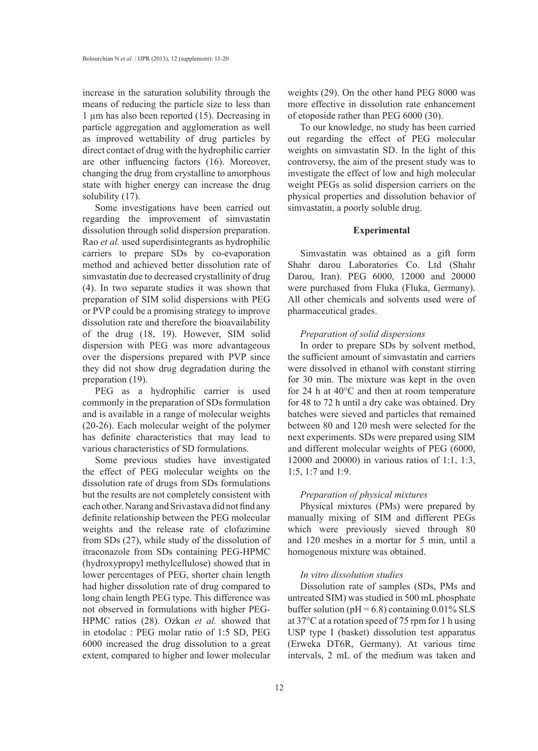increase in the saturation solubility through the means of reducing the particle size to less than 1 µm has also been reported (15). Decreasing in particle aggregation and agglomeration as well as improved wettability of drug particles by direct contact of drug with the hydrophilic carrier are other influencing factors (16). Moreover, changing the drug from crystalline to amorphous state with higher energy can increase the drug solubility (17).

Some investigations have been carried out regarding the improvement of simvastatin dissolution through solid dispersion preparation. Rao *et al.* used superdisintegrants as hydrophilic carriers to prepare SDs by co-evaporation method and achieved better dissolution rate of simvastatin due to decreased crystallinity of drug (4). In two separate studies it was shown that preparation of SIM solid dispersions with PEG or PVP could be a promising strategy to improve dissolution rate and therefore the bioavailability of the drug (18, 19). However, SIM solid dispersion with PEG was more advantageous over the dispersions prepared with PVP since they did not show drug degradation during the preparation (19).

PEG as a hydrophilic carrier is used commonly in the preparation of SDs formulation and is available in a range of molecular weights (20-26). Each molecular weight of the polymer has definite characteristics that may lead to various characteristics of SD formulations.

Some previous studies have investigated the effect of PEG molecular weights on the dissolution rate of drugs from SDs formulations but the results are not completely consistent with each other. Narang and Srivastava did not find any definite relationship between the PEG molecular weights and the release rate of clofazimine from SDs (27), while study of the dissolution of itraconazole from SDs containing PEG-HPMC (hydroxypropyl methylcellulose) showed that in lower percentages of PEG, shorter chain length had higher dissolution rate of drug compared to long chain length PEG type. This difference was not observed in formulations with higher PEG-HPMC ratios (28). Ozkan *et al.* showed that in etodolac : PEG molar ratio of 1:5 SD, PEG 6000 increased the drug dissolution to a great extent, compared to higher and lower molecular

weights (29). On the other hand PEG 8000 was more effective in dissolution rate enhancement of etoposide rather than PEG 6000 (30).

To our knowledge, no study has been carried out regarding the effect of PEG molecular weights on simvastatin SD. In the light of this controversy, the aim of the present study was to investigate the effect of low and high molecular weight PEGs as solid dispersion carriers on the physical properties and dissolution behavior of simvastatin, a poorly soluble drug.

#### **Experimental**

Simvastatin was obtained as a gift form Shahr darou Laboratories Co. Ltd (Shahr Darou, Iran). PEG 6000, 12000 and 20000 were purchased from Fluka (Fluka, Germany). All other chemicals and solvents used were of pharmaceutical grades.

## *Preparation of solid dispersions*

In order to prepare SDs by solvent method, the sufficient amount of simvastatin and carriers were dissolved in ethanol with constant stirring for 30 min. The mixture was kept in the oven for 24 h at 40°C and then at room temperature for 48 to 72 h until a dry cake was obtained. Dry batches were sieved and particles that remained between 80 and 120 mesh were selected for the next experiments. SDs were prepared using SIM and different molecular weights of PEG (6000, 12000 and 20000) in various ratios of 1:1, 1:3, 1:5, 1:7 and 1:9.

## *Preparation of physical mixtures*

Physical mixtures (PMs) were prepared by manually mixing of SIM and different PEGs which were previously sieved through 80 and 120 meshes in a mortar for 5 min, until a homogenous mixture was obtained.

## *In vitro dissolution studies*

Dissolution rate of samples (SDs, PMs and untreated SIM) was studied in 500 mL phosphate buffer solution ( $pH = 6.8$ ) containing 0.01% SLS at 37°C at a rotation speed of 75 rpm for 1 h using USP type I (basket) dissolution test apparatus (Erweka DT6R, Germany). At various time intervals, 2 mL of the medium was taken and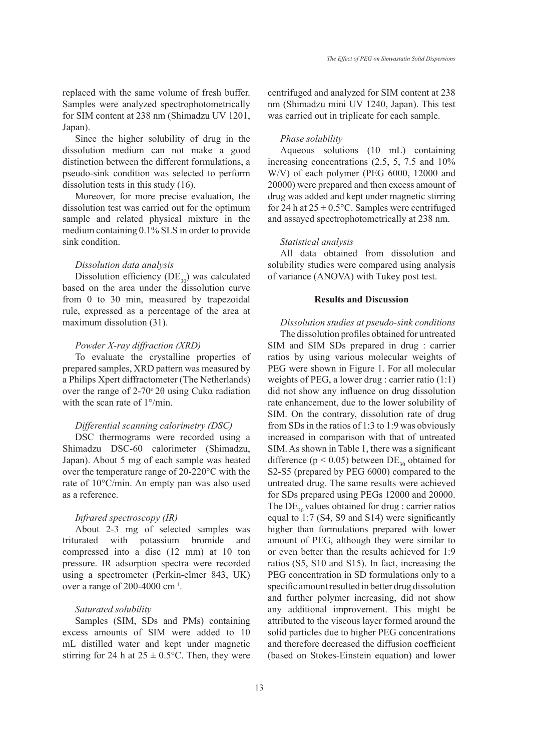replaced with the same volume of fresh buffer. Samples were analyzed spectrophotometrically for SIM content at 238 nm (Shimadzu UV 1201, Japan).

Since the higher solubility of drug in the dissolution medium can not make a good distinction between the different formulations, a pseudo-sink condition was selected to perform dissolution tests in this study (16).

Moreover, for more precise evaluation, the dissolution test was carried out for the optimum sample and related physical mixture in the medium containing 0.1% SLS in order to provide sink condition.

## *Dissolution data analysis*

Dissolution efficiency  $(DE_{30})$  was calculated based on the area under the dissolution curve from 0 to 30 min, measured by trapezoidal rule, expressed as a percentage of the area at maximum dissolution (31).

## *Powder X-ray diffraction (XRD)*

To evaluate the crystalline properties of prepared samples, XRD pattern was measured by a Philips Xpert diffractometer (The Netherlands) over the range of  $2-70°$  2θ using Cukα radiation with the scan rate of 1°/min.

# *Differential scanning calorimetry (DSC)*

DSC thermograms were recorded using a Shimadzu DSC-60 calorimeter (Shimadzu, Japan). About 5 mg of each sample was heated over the temperature range of 20-220°C with the rate of 10°C/min. An empty pan was also used as a reference.

# *Infrared spectroscopy (IR)*

About 2-3 mg of selected samples was triturated with potassium bromide and compressed into a disc (12 mm) at 10 ton pressure. IR adsorption spectra were recorded using a spectrometer (Perkin-elmer 843, UK) over a range of  $200-4000$  cm<sup>-1</sup>.

# *Saturated solubility*

Samples (SIM, SDs and PMs) containing excess amounts of SIM were added to 10 mL distilled water and kept under magnetic stirring for 24 h at  $25 \pm 0.5$ °C. Then, they were centrifuged and analyzed for SIM content at 238 nm (Shimadzu mini UV 1240, Japan). This test was carried out in triplicate for each sample.

#### *Phase solubility*

Aqueous solutions (10 mL) containing increasing concentrations (2.5, 5, 7.5 and 10% W/V) of each polymer (PEG 6000, 12000 and 20000) were prepared and then excess amount of drug was added and kept under magnetic stirring for 24 h at  $25 \pm 0.5$ °C. Samples were centrifuged and assayed spectrophotometrically at 238 nm.

#### *Statistical analysis*

All data obtained from dissolution and solubility studies were compared using analysis of variance (ANOVA) with Tukey post test.

## **Results and Discussion**

*Dissolution studies at pseudo-sink conditions* The dissolution profiles obtained for untreated SIM and SIM SDs prepared in drug : carrier ratios by using various molecular weights of PEG were shown in Figure 1. For all molecular weights of PEG, a lower drug : carrier ratio (1:1) did not show any influence on drug dissolution rate enhancement, due to the lower solubility of SIM. On the contrary, dissolution rate of drug from SDs in the ratios of 1:3 to 1:9 was obviously increased in comparison with that of untreated SIM. As shown in Table 1, there was a significant difference ( $p < 0.05$ ) between  $DE_{30}$  obtained for S2-S5 (prepared by PEG 6000) compared to the untreated drug. The same results were achieved for SDs prepared using PEGs 12000 and 20000. The  $DE_{30}$  values obtained for drug : carrier ratios equal to 1:7 (S4, S9 and S14) were significantly higher than formulations prepared with lower amount of PEG, although they were similar to or even better than the results achieved for 1:9 ratios (S5, S10 and S15). In fact, increasing the PEG concentration in SD formulations only to a specific amount resulted in better drug dissolution and further polymer increasing, did not show any additional improvement. This might be attributed to the viscous layer formed around the solid particles due to higher PEG concentrations and therefore decreased the diffusion coefficient (based on Stokes-Einstein equation) and lower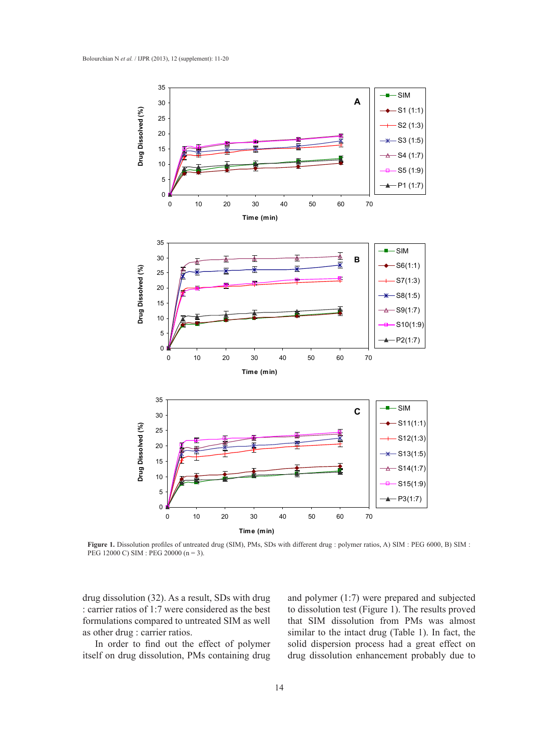

Figure 1. Dissolution profiles of untreated drug (SIM), PMs, SDs with different drug : polymer ratios, A) SIM : PEG 6000, B) SIM : PEG 12000 C) SIM : PEG 20000 (n = 3).

drug dissolution (32). As a result, SDs with drug : carrier ratios of 1:7 were considered as the best formulations compared to untreated SIM as well as other drug : carrier ratios.

In order to find out the effect of polymer itself on drug dissolution, PMs containing drug and polymer (1:7) were prepared and subjected to dissolution test (Figure 1). The results proved that SIM dissolution from PMs was almost similar to the intact drug (Table 1). In fact, the solid dispersion process had a great effect on drug dissolution enhancement probably due to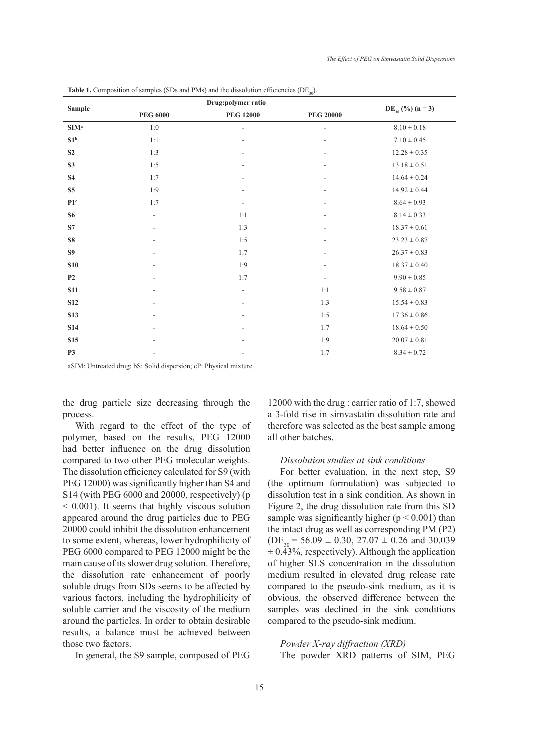| <b>Sample</b>            | Drug:polymer ratio       |                          |                          |                       |
|--------------------------|--------------------------|--------------------------|--------------------------|-----------------------|
|                          | $\rm{PEG}$ 6000          | <b>PEG 12000</b>         | <b>PEG 20000</b>         | $DE_{30}$ (%) (n = 3) |
| SIM <sup>a</sup>         | $1:0$                    | $\overline{\phantom{m}}$ | $\overline{\phantom{a}}$ | $8.10\pm0.18$         |
| $\mathbf{S1}^{\text{b}}$ | 1:1                      |                          |                          | $7.10\pm0.45$         |
| S <sub>2</sub>           | 1:3                      | $\overline{\phantom{a}}$ | $\overline{\phantom{a}}$ | $12.28 \pm 0.35$      |
| S3                       | 1:5                      | $\overline{\phantom{a}}$ | L,                       | $13.18 \pm 0.51$      |
| <b>S4</b>                | 1:7                      | $\overline{\phantom{a}}$ |                          | $14.64 \pm 0.24$      |
| S <sub>5</sub>           | 1:9                      | $\overline{\phantom{a}}$ | L,                       | $14.92 \pm 0.44$      |
| P1 <sup>c</sup>          | 1:7                      | $\overline{\phantom{a}}$ | L,                       | $8.64 \pm 0.93$       |
| <b>S6</b>                | $\overline{\phantom{a}}$ | 1:1                      | $\overline{\phantom{a}}$ | $8.14 \pm 0.33$       |
| S7                       | $\overline{\phantom{a}}$ | 1:3                      | ٠                        | $18.37\pm0.61$        |
| ${\bf S8}$               | ٠                        | 1:5                      |                          | $23.23 \pm 0.87$      |
| S <sub>9</sub>           | $\overline{\phantom{a}}$ | 1:7                      |                          | $26.37\pm0.83$        |
| <b>S10</b>               | $\overline{\phantom{a}}$ | 1:9                      | $\overline{\phantom{a}}$ | $18.37\pm0.40$        |
| P <sub>2</sub>           | $\overline{\phantom{a}}$ | 1:7                      | $\overline{\phantom{a}}$ | $9.90 \pm 0.85$       |
| <b>S11</b>               | $\overline{\phantom{a}}$ | $\overline{\phantom{a}}$ | 1:1                      | $9.58\pm0.87$         |
| <b>S12</b>               | $\overline{\phantom{a}}$ | $\overline{\phantom{a}}$ | 1:3                      | $15.54 \pm 0.83$      |
| <b>S13</b>               |                          | $\overline{\phantom{a}}$ | 1:5                      | $17.36 \pm 0.86$      |
| <b>S14</b>               |                          | $\sim$                   | 1:7                      | $18.64 \pm 0.50$      |
| <b>S15</b>               | ٠                        | ٠                        | 1:9                      | $20.07 \pm 0.81$      |
| <b>P3</b>                | $\overline{\phantom{a}}$ | $\overline{\phantom{a}}$ | 1:7                      | $8.34 \pm 0.72$       |

**Table 1.** Composition of samples (SDs and PMs) and the dissolution efficiencies ( $DE_{30}$ ).

aSIM: Untreated drug; bS: Solid dispersion; cP: Physical mixture.

the drug particle size decreasing through the process.

With regard to the effect of the type of polymer, based on the results, PEG 12000 had better influence on the drug dissolution compared to two other PEG molecular weights. The dissolution efficiency calculated for S9 (with PEG 12000) was significantly higher than S4 and S14 (with PEG 6000 and 20000, respectively) (p < 0.001). It seems that highly viscous solution appeared around the drug particles due to PEG 20000 could inhibit the dissolution enhancement to some extent, whereas, lower hydrophilicity of PEG 6000 compared to PEG 12000 might be the main cause of its slower drug solution. Therefore, the dissolution rate enhancement of poorly soluble drugs from SDs seems to be affected by various factors, including the hydrophilicity of soluble carrier and the viscosity of the medium around the particles. In order to obtain desirable results, a balance must be achieved between those two factors.

In general, the S9 sample, composed of PEG

12000 with the drug : carrier ratio of 1:7, showed a 3-fold rise in simvastatin dissolution rate and therefore was selected as the best sample among all other batches.

#### *Dissolution studies at sink conditions*

For better evaluation, in the next step, S9 (the optimum formulation) was subjected to dissolution test in a sink condition. As shown in Figure 2, the drug dissolution rate from this SD sample was significantly higher ( $p < 0.001$ ) than the intact drug as well as corresponding PM (P2)  $(DE<sub>30</sub> = 56.09 \pm 0.30, 27.07 \pm 0.26$  and 30.039  $\pm$  0.43%, respectively). Although the application of higher SLS concentration in the dissolution medium resulted in elevated drug release rate compared to the pseudo-sink medium, as it is obvious, the observed difference between the samples was declined in the sink conditions compared to the pseudo-sink medium.

*Powder X-ray diffraction (XRD)* The powder XRD patterns of SIM, PEG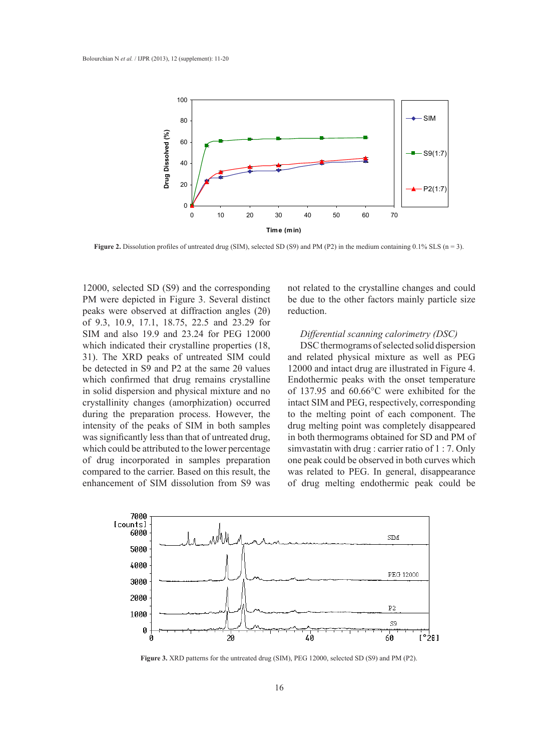

**Figure 2.** Dissolution profiles of untreated drug (SIM), selected SD (S9) and PM (P2) in the medium containing 0.1% SLS ( $n = 3$ ).

12000, selected SD (S9) and the corresponding PM were depicted in Figure 3. Several distinct peaks were observed at diffraction angles (2θ) of 9.3, 10.9, 17.1, 18.75, 22.5 and 23.29 for SIM and also 19.9 and 23.24 for PEG 12000 which indicated their crystalline properties (18, 31). The XRD peaks of untreated SIM could be detected in S9 and P2 at the same 2θ values which confirmed that drug remains crystalline in solid dispersion and physical mixture and no crystallinity changes (amorphization) occurred during the preparation process. However, the intensity of the peaks of SIM in both samples was significantly less than that of untreated drug, which could be attributed to the lower percentage of drug incorporated in samples preparation compared to the carrier. Based on this result, the enhancement of SIM dissolution from S9 was

not related to the crystalline changes and could be due to the other factors mainly particle size reduction.

# *Differential scanning calorimetry (DSC)*

DSC thermograms of selected solid dispersion and related physical mixture as well as PEG 12000 and intact drug are illustrated in Figure 4. Endothermic peaks with the onset temperature of 137.95 and 60.66°C were exhibited for the intact SIM and PEG, respectively, corresponding to the melting point of each component. The drug melting point was completely disappeared in both thermograms obtained for SD and PM of simvastatin with drug : carrier ratio of 1 : 7. Only one peak could be observed in both curves which was related to PEG. In general, disappearance of drug melting endothermic peak could be



**Figure 3.** XRD patterns for the untreated drug (SIM), PEG 12000, selected SD (S9) and PM (P2).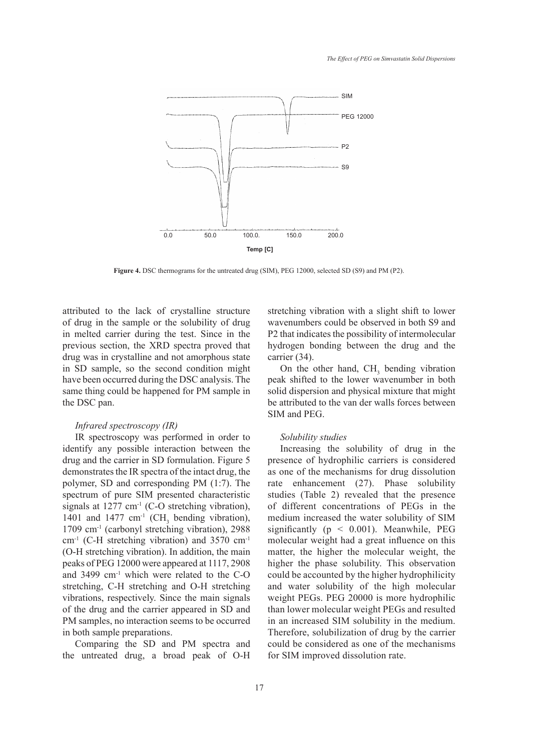

**Figure 4.** DSC thermograms for the untreated drug (SIM), PEG 12000, selected SD (S9) and PM (P2).

attributed to the lack of crystalline structure of drug in the sample or the solubility of drug in melted carrier during the test. Since in the previous section, the XRD spectra proved that drug was in crystalline and not amorphous state in SD sample, so the second condition might have been occurred during the DSC analysis. The same thing could be happened for PM sample in the DSC pan.

# *Infrared spectroscopy (IR)*

IR spectroscopy was performed in order to identify any possible interaction between the drug and the carrier in SD formulation. Figure 5 demonstrates the IR spectra of the intact drug, the polymer, SD and corresponding PM (1:7). The spectrum of pure SIM presented characteristic signals at  $1277 \text{ cm}^{-1}$  (C-O stretching vibration), 1401 and 1477 cm<sup>-1</sup> (CH<sub>3</sub> bending vibration), 1709 cm-1 (carbonyl stretching vibration), 2988 cm-1 (C-H stretching vibration) and 3570 cm-1 (O-H stretching vibration). In addition, the main peaks of PEG 12000 were appeared at 1117, 2908 and 3499 cm<sup>-1</sup> which were related to the C-O stretching, C-H stretching and O-H stretching vibrations, respectively. Since the main signals of the drug and the carrier appeared in SD and PM samples, no interaction seems to be occurred in both sample preparations.

Comparing the SD and PM spectra and the untreated drug, a broad peak of O-H stretching vibration with a slight shift to lower wavenumbers could be observed in both S9 and P2 that indicates the possibility of intermolecular hydrogen bonding between the drug and the carrier (34).

On the other hand,  $CH<sub>3</sub>$  bending vibration peak shifted to the lower wavenumber in both solid dispersion and physical mixture that might be attributed to the van der walls forces between SIM and PEG.

#### *Solubility studies*

Increasing the solubility of drug in the presence of hydrophilic carriers is considered as one of the mechanisms for drug dissolution rate enhancement (27). Phase solubility studies (Table 2) revealed that the presence of different concentrations of PEGs in the medium increased the water solubility of SIM significantly ( $p < 0.001$ ). Meanwhile, PEG molecular weight had a great influence on this matter, the higher the molecular weight, the higher the phase solubility. This observation could be accounted by the higher hydrophilicity and water solubility of the high molecular weight PEGs. PEG 20000 is more hydrophilic than lower molecular weight PEGs and resulted in an increased SIM solubility in the medium. Therefore, solubilization of drug by the carrier could be considered as one of the mechanisms for SIM improved dissolution rate.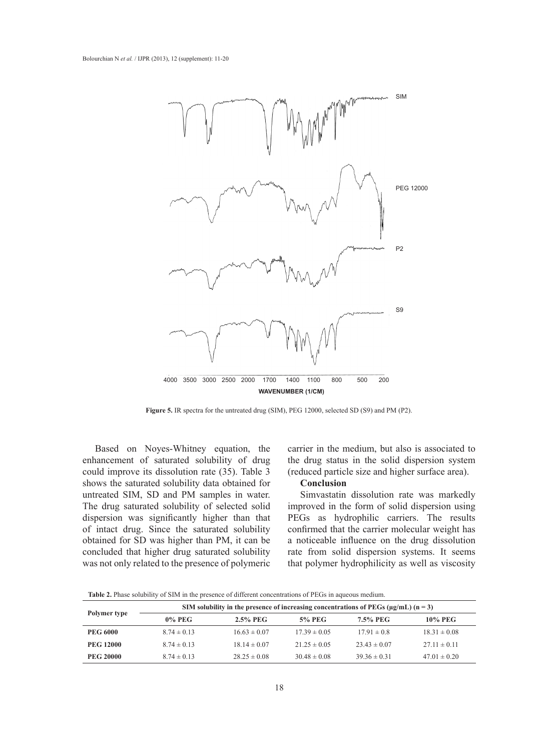

**Figure 5.** IR spectra for the untreated drug (SIM), PEG 12000, selected SD (S9) and PM (P2).

Based on Noyes-Whitney equation, the enhancement of saturated solubility of drug could improve its dissolution rate (35). Table 3 shows the saturated solubility data obtained for untreated SIM, SD and PM samples in water. The drug saturated solubility of selected solid dispersion was significantly higher than that of intact drug. Since the saturated solubility obtained for SD was higher than PM, it can be concluded that higher drug saturated solubility was not only related to the presence of polymeric

carrier in the medium, but also is associated to the drug status in the solid dispersion system (reduced particle size and higher surface area).

# **Conclusion**

Simvastatin dissolution rate was markedly improved in the form of solid dispersion using PEGs as hydrophilic carriers. The results confirmed that the carrier molecular weight has a noticeable influence on the drug dissolution rate from solid dispersion systems. It seems that polymer hydrophilicity as well as viscosity

**Table 2.** Phase solubility of SIM in the presence of different concentrations of PEGs in aqueous medium.

|                  | SIM solubility in the presence of increasing concentrations of PEGs ( $\mu$ g/mL) (n = 3) |                  |                  |                  |                  |  |
|------------------|-------------------------------------------------------------------------------------------|------------------|------------------|------------------|------------------|--|
| Polymer type     | $0\%$ PEG                                                                                 | $2.5\%$ PEG      | <b>5% PEG</b>    | 7.5% PEG         | 10% PEG          |  |
| <b>PEG 6000</b>  | $8.74 \pm 0.13$                                                                           | $16.63 \pm 0.07$ | $17.39 \pm 0.05$ | $17.91 \pm 0.8$  | $18.31 \pm 0.08$ |  |
| <b>PEG 12000</b> | $8.74 \pm 0.13$                                                                           | $18.14 \pm 0.07$ | $21.25 \pm 0.05$ | $23.43 \pm 0.07$ | $27.11 \pm 0.11$ |  |
| <b>PEG 20000</b> | $8.74 \pm 0.13$                                                                           | $28.25 \pm 0.08$ | $30.48 \pm 0.08$ | $39.36 \pm 0.31$ | $47.01 \pm 0.20$ |  |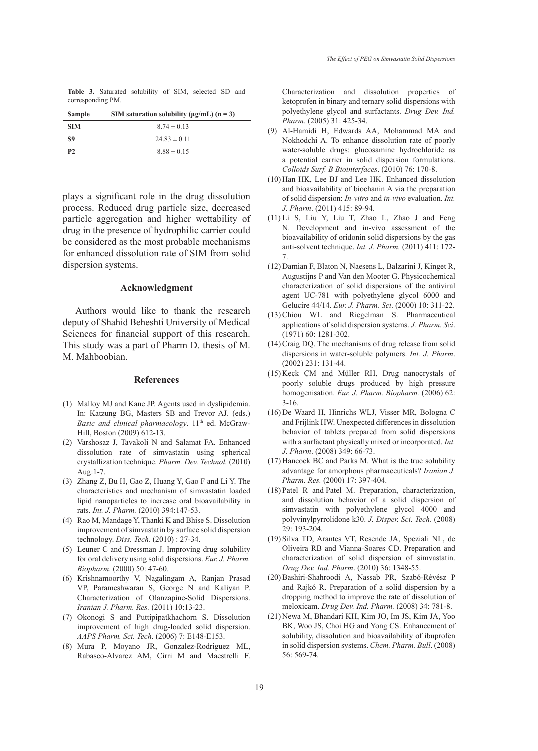**Table 3.** Saturated solubility of SIM, selected SD and corresponding PM.

| <b>Sample</b> | SIM saturation solubility ( $\mu$ g/mL) (n = 3) |  |
|---------------|-------------------------------------------------|--|
| <b>SIM</b>    | $8.74 \pm 0.13$                                 |  |
| S9            | $24.83 \pm 0.11$                                |  |
| <b>P2</b>     | $8.88 \pm 0.15$                                 |  |

plays a significant role in the drug dissolution process. Reduced drug particle size, decreased particle aggregation and higher wettability of drug in the presence of hydrophilic carrier could be considered as the most probable mechanisms for enhanced dissolution rate of SIM from solid dispersion systems.

# **Acknowledgment**

Authors would like to thank the research deputy of Shahid Beheshti University of Medical Sciences for financial support of this research. This study was a part of Pharm D. thesis of M. M. Mahboobian.

#### **References**

- (1) Malloy MJ and Kane JP. Agents used in dyslipidemia. In: Katzung BG, Masters SB and Trevor AJ. (eds.) *Basic and clinical pharmacology*. 11<sup>th</sup> ed. McGraw-Hill, Boston (2009) 612-13.
- (2) Varshosaz J, Tavakoli N and Salamat FA. Enhanced dissolution rate of simvastatin using spherical crystallization technique. *Pharm. Dev. Technol.* (2010) Aug:1-7.
- Zhang Z, Bu H, Gao Z, Huang Y, Gao F and Li Y. The (3) characteristics and mechanism of simvastatin loaded lipid nanoparticles to increase oral bioavailability in rats. *Int. J. Pharm.* (2010) 394:147-53.
- (4) Rao M, Mandage Y, Thanki K and Bhise S. Dissolution improvement of simvastatin by surface solid dispersion technology. *Diss. Tech*. (2010) : 27-34.
- Leuner C and Dressman J. Improving drug solubility (5) for oral delivery using solid dispersions. *Eur. J. Pharm. Biopharm*. (2000) 50: 47-60.
- (6) Krishnamoorthy V, Nagalingam A, Ranjan Prasad VP, Parameshwaran S, George N and Kaliyan P. Characterization of Olanzapine-Solid Dispersions. *Iranian J. Pharm. Res.* (2011) 10:13-23.
- (7) Okonogi S and Puttipipatkhachorn S. Dissolution improvement of high drug-loaded solid dispersion. *AAPS Pharm. Sci. Tech*. (2006) 7: E148-E153.
- Mura P, Moyano JR, Gonzalez-Rodriguez ML, (8) Rabasco-Alvarez AM, Cirri M and Maestrelli F.

Characterization and dissolution properties of ketoprofen in binary and ternary solid dispersions with polyethylene glycol and surfactants. *Drug Dev. Ind. Pharm*. (2005) 31: 425-34.

- Al-Hamidi H, Edwards AA, Mohammad MA and (9) Nokhodchi A. To enhance dissolution rate of poorly water-soluble drugs: glucosamine hydrochloride as a potential carrier in solid dispersion formulations. *Colloids Surf. B Biointerfaces*. (2010) 76: 170-8.
- $(10)$  Han HK, Lee BJ and Lee HK. Enhanced dissolution and bioavailability of biochanin A via the preparation of solid dispersion: *In-vitro* and *in-vivo* evaluation. *Int. J. Pharm*. (2011) 415: 89-94.
- Li S, Liu Y, Liu T, Zhao L, Zhao J and Feng (11) N. Development and in-vivo assessment of the bioavailability of oridonin solid dispersions by the gas anti-solvent technique. *Int. J. Pharm.* (2011) 411: 172- 7.
- (12) Damian F, Blaton N, Naesens L, Balzarini J, Kinget R, Augustijns P and Van den Mooter G. Physicochemical characterization of solid dispersions of the antiviral agent UC-781 with polyethylene glycol 6000 and Gelucire 44/14. *Eur. J. Pharm. Sci*. (2000) 10: 311-22.
- (13) Chiou WL and Riegelman S. Pharmaceutical applications of solid dispersion systems. *J. Pharm. Sci*. (1971) 60: 1281-302.
- $(14)$  Craig DQ. The mechanisms of drug release from solid dispersions in water-soluble polymers. *Int. J. Pharm*. (2002) 231: 131-44.
- $(15)$  Keck CM and Müller RH. Drug nanocrystals of poorly soluble drugs produced by high pressure homogenisation. *Eur. J. Pharm. Biopharm.* (2006) 62: 3-16.
- (16) De Waard H, Hinrichs WLJ, Visser MR, Bologna C and Frijlink HW. Unexpected differences in dissolution behavior of tablets prepared from solid dispersions with a surfactant physically mixed or incorporated. *Int. J. Pharm*. (2008) 349: 66-73.
- $(17)$  Hancock BC and Parks M. What is the true solubility advantage for amorphous pharmaceuticals? *Iranian J. Pharm. Res.* (2000) 17: 397-404.
- (18) Patel R and Patel M. Preparation, characterization, and dissolution behavior of a solid dispersion of simvastatin with polyethylene glycol 4000 and polyvinylpyrrolidone k30. *J. Disper. Sci. Tech*. (2008) 29: 193-204.
- (19) Silva TD, Arantes VT, Resende JA, Speziali NL, de Oliveira RB and Vianna-Soares CD. Preparation and characterization of solid dispersion of simvastatin. *Drug Dev. Ind. Pharm*. (2010) 36: 1348-55.
- (20) Bashiri-Shahroodi A, Nassab PR, Szabó-Révész P and Rajkó R. Preparation of a solid dispersion by a dropping method to improve the rate of dissolution of meloxicam. *Drug Dev. Ind. Pharm.* (2008) 34: 781-8.
- (21) Newa M, Bhandari KH, Kim JO, Im JS, Kim JA, Yoo BK, Woo JS, Choi HG and Yong CS. Enhancement of solubility, dissolution and bioavailability of ibuprofen in solid dispersion systems. *Chem. Pharm. Bull*. (2008) 56: 569-74.